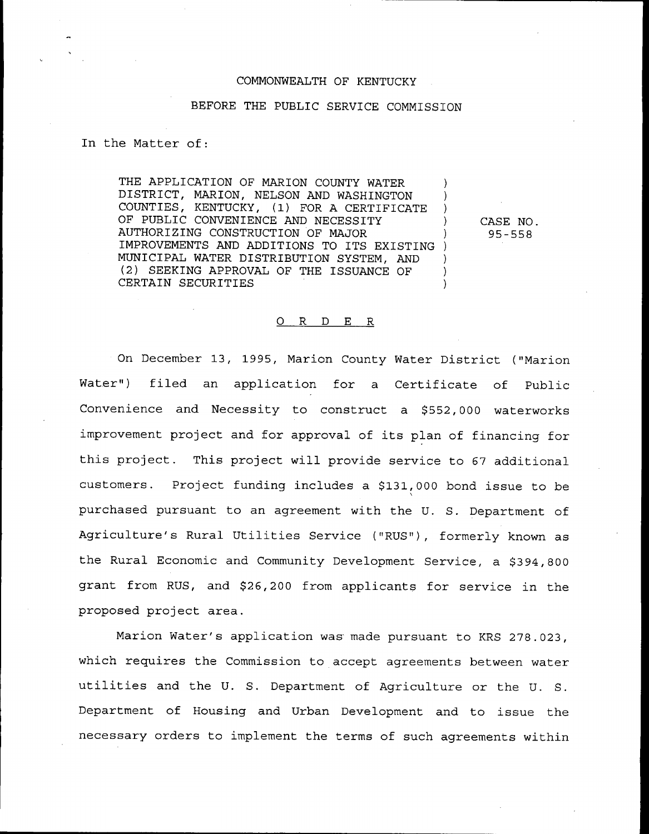## COMMONWEALTH OF KENTUCKY

## BEFORE THE PUBLIC SERVICE COMMISSION

## In the Matter of:

THE APPLICATION OF MARION COUNTY WATER DISTRICT, MARION, NELSON AND WASHINGTON ) COUNTIES, KENTUCKY, (1) FOR <sup>A</sup> CERTIFICATE ) OF PUBLIC CONVENIENCE AND NECESSITY AUTHORIZING CONSTRUCTION OF MAJOR ) IMPROVEMENTS AND ADDITIONS TO ITS EXISTING ) MUNICIPAL WATER DISTRIBUTION SYSTEM, AND ) (2) SEEKING APPROVAL OF THE ISSUANCE OF CERTAIN SECURITIES

CASE NO. 95-558

## 0 R <sup>D</sup> E <sup>R</sup>

On December 13, 1995, Marion County Water District ("Marion Water") filed an application for a Certificate of Public Convenience and Necessity to construct a \$552,000 waterworks improvement project and for approval of its plan of financing for this project. This project will provide service to 67 additional customers. Project funding includes a \$131,000 bond issue to be purchased pursuant to an agreement with the U. S. Department of Agriculture's Rural Utilities Service ("RUS"), formerly known as the Rural Economic and Community Development Service, a \$394,800 grant from RUS, and \$26,200 from applicants for service in the proposed project area.

Marion Water's application was made pursuant to KRS 278.023, which requires the Commission to accept agreements between water utilities and the U. S. Department of Agriculture or the U. S. Department of Housing and Urban Development and to issue the necessary orders to implement the terms of such agreements within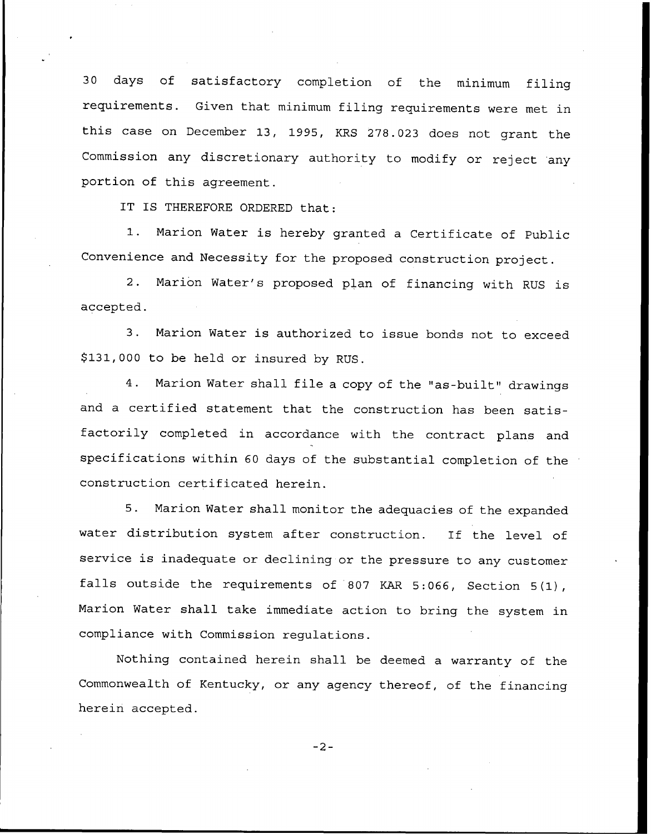<sup>30</sup> days of satisfactory completion of the minimum filing requirements. Given that minimum filing requirements were met in this case on December 13, 1995, KRS 278.023 does not grant the Commission any discretionary authority to modify or reject any portion of this agreement.

IT IS THEREFORE ORDERED that:

1. Marion Water is hereby granted <sup>a</sup> Certificate of Public Convenience and Necessity for the proposed construction project.

2. Marion Water's proposed plan of financing with RUS is accepted.

3. Marion Water is authorized to issue bonds not to exceed \$131,000 to be held or insured by RUS.

4. Marion Water shall file <sup>a</sup> copy of the "as-built" drawings and <sup>a</sup> certified statement that the construction has been satisfactorily completed in accordance with the contract plans and specifications within <sup>60</sup> days of the substantial completion of the construction certificated herein.

5. Marion Water shall monitor the adequacies of the expanded water distribution system after construction. If the level of service is inadequate or declining or the pressure to any customer falls outside the requirements of <sup>807</sup> KAR 5:066, Section 5(1), Marion Water shall take immediate action to bring the system in compliance with Commission regulations.

Nothing contained herein shall be deemed a warranty of the Commonwealth of Kentucky, or any agency thereof, of the financing herein accepted.

 $-2-$